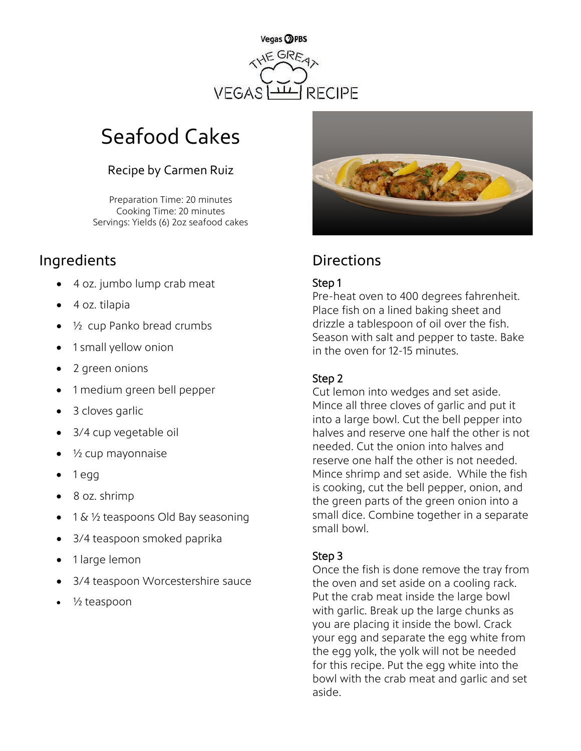

# Seafood Cakes

### Recipe by Carmen Ruiz

Preparation Time: 20 minutes Cooking Time: 20 minutes Servings: Yields (6) 2oz seafood cakes

## Ingredients **Directions**

- 4 oz. jumbo lump crab meat
- 4 oz. tilapia
- ½ cup Panko bread crumbs
- 1 small yellow onion
- 2 green onions
- 1 medium green bell pepper
- 3 cloves garlic
- 3/4 cup vegetable oil
- $\frac{1}{2}$  cup mayonnaise
- 1 egg
- 8 oz. shrimp
- 1 & 1/2 teaspoons Old Bay seasoning
- 3/4 teaspoon smoked paprika
- 1 large lemon
- 3/4 teaspoon Worcestershire sauce
- ½ teaspoon



#### Step 1

Pre-heat oven to 400 degrees fahrenheit. Place fish on a lined baking sheet and drizzle a tablespoon of oil over the fish. Season with salt and pepper to taste. Bake in the oven for 12-15 minutes.

#### Step 2

Cut lemon into wedges and set aside. Mince all three cloves of garlic and put it into a large bowl. Cut the bell pepper into halves and reserve one half the other is not needed. Cut the onion into halves and reserve one half the other is not needed. Mince shrimp and set aside. While the fish is cooking, cut the bell pepper, onion, and the green parts of the green onion into a small dice. Combine together in a separate small bowl.

#### Step 3

Once the fish is done remove the tray from the oven and set aside on a cooling rack. Put the crab meat inside the large bowl with garlic. Break up the large chunks as you are placing it inside the bowl. Crack your egg and separate the egg white from the egg yolk, the yolk will not be needed for this recipe. Put the egg white into the bowl with the crab meat and garlic and set aside.